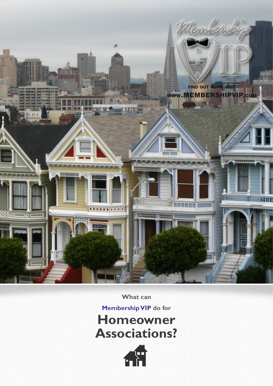

**What can** 

**Membership VIP do for Homeowner Associations?**